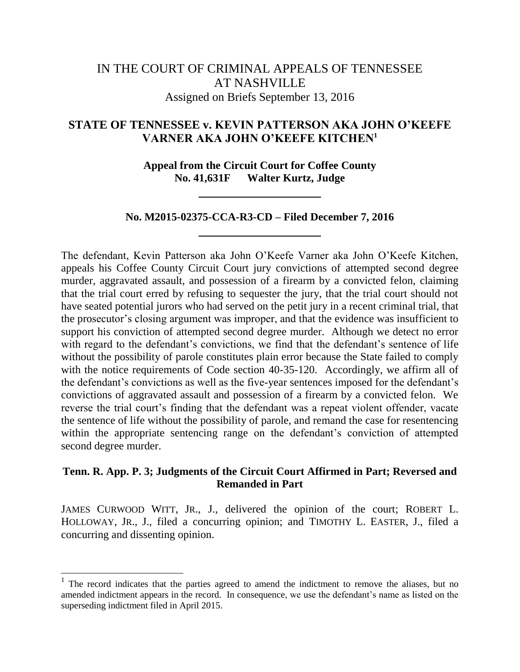# IN THE COURT OF CRIMINAL APPEALS OF TENNESSEE AT NASHVILLE Assigned on Briefs September 13, 2016

# **STATE OF TENNESSEE v. KEVIN PATTERSON AKA JOHN O'KEEFE VARNER AKA JOHN O'KEEFE KITCHEN<sup>1</sup>**

**Appeal from the Circuit Court for Coffee County No. 41,631F Walter Kurtz, Judge**

## **No. M2015-02375-CCA-R3-CD – Filed December 7, 2016**

The defendant, Kevin Patterson aka John O"Keefe Varner aka John O"Keefe Kitchen, appeals his Coffee County Circuit Court jury convictions of attempted second degree murder, aggravated assault, and possession of a firearm by a convicted felon, claiming that the trial court erred by refusing to sequester the jury, that the trial court should not have seated potential jurors who had served on the petit jury in a recent criminal trial, that the prosecutor's closing argument was improper, and that the evidence was insufficient to support his conviction of attempted second degree murder. Although we detect no error with regard to the defendant's convictions, we find that the defendant's sentence of life without the possibility of parole constitutes plain error because the State failed to comply with the notice requirements of Code section 40-35-120. Accordingly, we affirm all of the defendant's convictions as well as the five-year sentences imposed for the defendant's convictions of aggravated assault and possession of a firearm by a convicted felon. We reverse the trial court's finding that the defendant was a repeat violent offender, vacate the sentence of life without the possibility of parole, and remand the case for resentencing within the appropriate sentencing range on the defendant's conviction of attempted second degree murder.

## **Tenn. R. App. P. 3; Judgments of the Circuit Court Affirmed in Part; Reversed and Remanded in Part**

JAMES CURWOOD WITT, JR., J., delivered the opinion of the court; ROBERT L. HOLLOWAY, JR., J., filed a concurring opinion; and TIMOTHY L. EASTER, J., filed a concurring and dissenting opinion.

l

 $1$  The record indicates that the parties agreed to amend the indictment to remove the aliases, but no amended indictment appears in the record. In consequence, we use the defendant's name as listed on the superseding indictment filed in April 2015.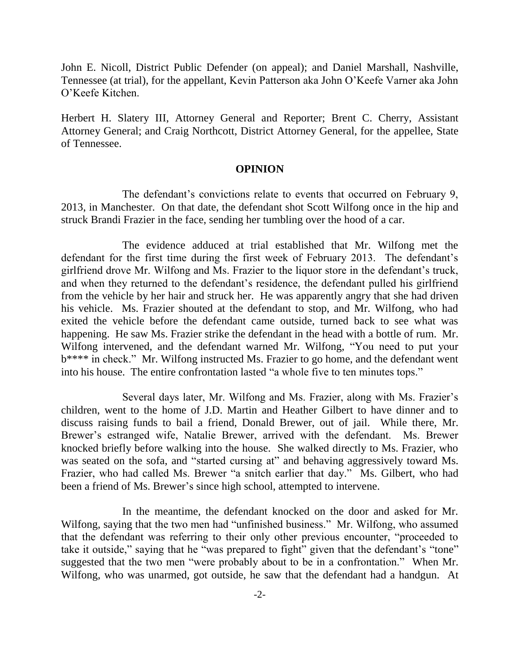John E. Nicoll, District Public Defender (on appeal); and Daniel Marshall, Nashville, Tennessee (at trial), for the appellant, Kevin Patterson aka John O"Keefe Varner aka John O"Keefe Kitchen.

Herbert H. Slatery III, Attorney General and Reporter; Brent C. Cherry, Assistant Attorney General; and Craig Northcott, District Attorney General, for the appellee, State of Tennessee.

#### **OPINION**

The defendant's convictions relate to events that occurred on February 9, 2013, in Manchester. On that date, the defendant shot Scott Wilfong once in the hip and struck Brandi Frazier in the face, sending her tumbling over the hood of a car.

The evidence adduced at trial established that Mr. Wilfong met the defendant for the first time during the first week of February 2013. The defendant's girlfriend drove Mr. Wilfong and Ms. Frazier to the liquor store in the defendant"s truck, and when they returned to the defendant's residence, the defendant pulled his girlfriend from the vehicle by her hair and struck her. He was apparently angry that she had driven his vehicle. Ms. Frazier shouted at the defendant to stop, and Mr. Wilfong, who had exited the vehicle before the defendant came outside, turned back to see what was happening. He saw Ms. Frazier strike the defendant in the head with a bottle of rum. Mr. Wilfong intervened, and the defendant warned Mr. Wilfong, "You need to put your b\*\*\*\* in check." Mr. Wilfong instructed Ms. Frazier to go home, and the defendant went into his house. The entire confrontation lasted "a whole five to ten minutes tops."

Several days later, Mr. Wilfong and Ms. Frazier, along with Ms. Frazier's children, went to the home of J.D. Martin and Heather Gilbert to have dinner and to discuss raising funds to bail a friend, Donald Brewer, out of jail. While there, Mr. Brewer"s estranged wife, Natalie Brewer, arrived with the defendant. Ms. Brewer knocked briefly before walking into the house. She walked directly to Ms. Frazier, who was seated on the sofa, and "started cursing at" and behaving aggressively toward Ms. Frazier, who had called Ms. Brewer "a snitch earlier that day." Ms. Gilbert, who had been a friend of Ms. Brewer's since high school, attempted to intervene.

In the meantime, the defendant knocked on the door and asked for Mr. Wilfong, saying that the two men had "unfinished business." Mr. Wilfong, who assumed that the defendant was referring to their only other previous encounter, "proceeded to take it outside," saying that he "was prepared to fight" given that the defendant's "tone" suggested that the two men "were probably about to be in a confrontation." When Mr. Wilfong, who was unarmed, got outside, he saw that the defendant had a handgun. At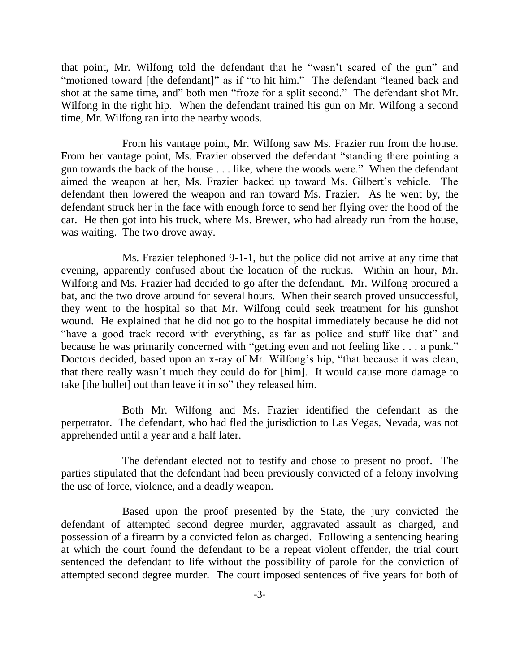that point, Mr. Wilfong told the defendant that he "wasn"t scared of the gun" and "motioned toward [the defendant]" as if "to hit him." The defendant "leaned back and shot at the same time, and" both men "froze for a split second." The defendant shot Mr. Wilfong in the right hip. When the defendant trained his gun on Mr. Wilfong a second time, Mr. Wilfong ran into the nearby woods.

From his vantage point, Mr. Wilfong saw Ms. Frazier run from the house. From her vantage point, Ms. Frazier observed the defendant "standing there pointing a gun towards the back of the house . . . like, where the woods were." When the defendant aimed the weapon at her, Ms. Frazier backed up toward Ms. Gilbert"s vehicle. The defendant then lowered the weapon and ran toward Ms. Frazier. As he went by, the defendant struck her in the face with enough force to send her flying over the hood of the car. He then got into his truck, where Ms. Brewer, who had already run from the house, was waiting. The two drove away.

Ms. Frazier telephoned 9-1-1, but the police did not arrive at any time that evening, apparently confused about the location of the ruckus. Within an hour, Mr. Wilfong and Ms. Frazier had decided to go after the defendant. Mr. Wilfong procured a bat, and the two drove around for several hours. When their search proved unsuccessful, they went to the hospital so that Mr. Wilfong could seek treatment for his gunshot wound. He explained that he did not go to the hospital immediately because he did not "have a good track record with everything, as far as police and stuff like that" and because he was primarily concerned with "getting even and not feeling like . . . a punk." Doctors decided, based upon an x-ray of Mr. Wilfong's hip, "that because it was clean, that there really wasn"t much they could do for [him]. It would cause more damage to take [the bullet] out than leave it in so" they released him.

Both Mr. Wilfong and Ms. Frazier identified the defendant as the perpetrator. The defendant, who had fled the jurisdiction to Las Vegas, Nevada, was not apprehended until a year and a half later.

The defendant elected not to testify and chose to present no proof. The parties stipulated that the defendant had been previously convicted of a felony involving the use of force, violence, and a deadly weapon.

Based upon the proof presented by the State, the jury convicted the defendant of attempted second degree murder, aggravated assault as charged, and possession of a firearm by a convicted felon as charged. Following a sentencing hearing at which the court found the defendant to be a repeat violent offender, the trial court sentenced the defendant to life without the possibility of parole for the conviction of attempted second degree murder. The court imposed sentences of five years for both of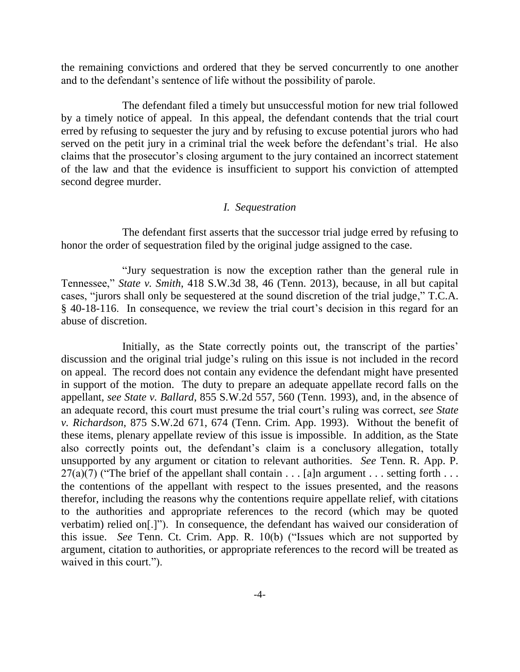the remaining convictions and ordered that they be served concurrently to one another and to the defendant"s sentence of life without the possibility of parole.

The defendant filed a timely but unsuccessful motion for new trial followed by a timely notice of appeal. In this appeal, the defendant contends that the trial court erred by refusing to sequester the jury and by refusing to excuse potential jurors who had served on the petit jury in a criminal trial the week before the defendant's trial. He also claims that the prosecutor"s closing argument to the jury contained an incorrect statement of the law and that the evidence is insufficient to support his conviction of attempted second degree murder.

#### *I. Sequestration*

The defendant first asserts that the successor trial judge erred by refusing to honor the order of sequestration filed by the original judge assigned to the case.

"Jury sequestration is now the exception rather than the general rule in Tennessee," *State v. Smith*, 418 S.W.3d 38, 46 (Tenn. 2013), because, in all but capital cases, "jurors shall only be sequestered at the sound discretion of the trial judge," T.C.A. § 40-18-116. In consequence, we review the trial court"s decision in this regard for an abuse of discretion.

Initially, as the State correctly points out, the transcript of the parties' discussion and the original trial judge"s ruling on this issue is not included in the record on appeal. The record does not contain any evidence the defendant might have presented in support of the motion. The duty to prepare an adequate appellate record falls on the appellant, *see State v. Ballard*, 855 S.W.2d 557, 560 (Tenn. 1993), and, in the absence of an adequate record, this court must presume the trial court's ruling was correct, *see State v. Richardson*, 875 S.W.2d 671, 674 (Tenn. Crim. App. 1993). Without the benefit of these items, plenary appellate review of this issue is impossible. In addition, as the State also correctly points out, the defendant"s claim is a conclusory allegation, totally unsupported by any argument or citation to relevant authorities. *See* Tenn. R. App. P.  $27(a)(7)$  ("The brief of the appellant shall contain . . . [a]n argument . . . setting forth . . . the contentions of the appellant with respect to the issues presented, and the reasons therefor, including the reasons why the contentions require appellate relief, with citations to the authorities and appropriate references to the record (which may be quoted verbatim) relied on[.]"). In consequence, the defendant has waived our consideration of this issue. *See* Tenn. Ct. Crim. App. R. 10(b) ("Issues which are not supported by argument, citation to authorities, or appropriate references to the record will be treated as waived in this court.").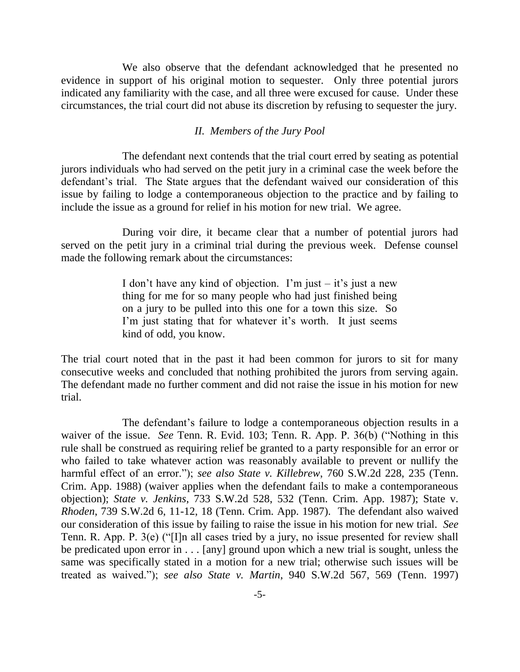We also observe that the defendant acknowledged that he presented no evidence in support of his original motion to sequester. Only three potential jurors indicated any familiarity with the case, and all three were excused for cause. Under these circumstances, the trial court did not abuse its discretion by refusing to sequester the jury.

#### *II. Members of the Jury Pool*

The defendant next contends that the trial court erred by seating as potential jurors individuals who had served on the petit jury in a criminal case the week before the defendant"s trial. The State argues that the defendant waived our consideration of this issue by failing to lodge a contemporaneous objection to the practice and by failing to include the issue as a ground for relief in his motion for new trial. We agree.

During voir dire, it became clear that a number of potential jurors had served on the petit jury in a criminal trial during the previous week. Defense counsel made the following remark about the circumstances:

> I don't have any kind of objection. I'm just  $-$  it's just a new thing for me for so many people who had just finished being on a jury to be pulled into this one for a town this size. So I'm just stating that for whatever it's worth. It just seems kind of odd, you know.

The trial court noted that in the past it had been common for jurors to sit for many consecutive weeks and concluded that nothing prohibited the jurors from serving again. The defendant made no further comment and did not raise the issue in his motion for new trial.

The defendant's failure to lodge a contemporaneous objection results in a waiver of the issue. *See* Tenn. R. Evid. 103; Tenn. R. App. P. 36(b) ("Nothing in this rule shall be construed as requiring relief be granted to a party responsible for an error or who failed to take whatever action was reasonably available to prevent or nullify the harmful effect of an error."); *see also State v. Killebrew*, 760 S.W.2d 228, 235 (Tenn. Crim. App. 1988) (waiver applies when the defendant fails to make a contemporaneous objection); *State v. Jenkins*, 733 S.W.2d 528, 532 (Tenn. Crim. App. 1987); State v. *Rhoden*, 739 S.W.2d 6, 11-12, 18 (Tenn. Crim. App. 1987). The defendant also waived our consideration of this issue by failing to raise the issue in his motion for new trial. *See* Tenn. R. App. P. 3(e) ("[I]n all cases tried by a jury, no issue presented for review shall be predicated upon error in . . . [any] ground upon which a new trial is sought, unless the same was specifically stated in a motion for a new trial; otherwise such issues will be treated as waived."); *see also State v. Martin*, 940 S.W.2d 567, 569 (Tenn. 1997)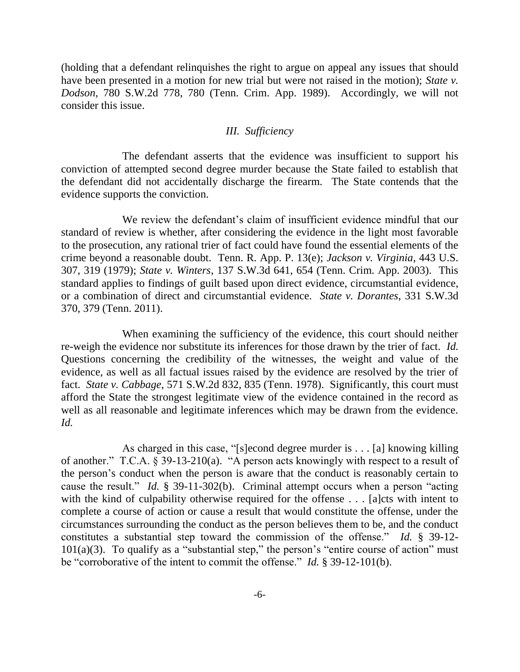(holding that a defendant relinquishes the right to argue on appeal any issues that should have been presented in a motion for new trial but were not raised in the motion); *State v. Dodson*, 780 S.W.2d 778, 780 (Tenn. Crim. App. 1989). Accordingly, we will not consider this issue.

#### *III. Sufficiency*

The defendant asserts that the evidence was insufficient to support his conviction of attempted second degree murder because the State failed to establish that the defendant did not accidentally discharge the firearm. The State contends that the evidence supports the conviction.

We review the defendant's claim of insufficient evidence mindful that our standard of review is whether, after considering the evidence in the light most favorable to the prosecution, any rational trier of fact could have found the essential elements of the crime beyond a reasonable doubt. Tenn. R. App. P. 13(e); *Jackson v. Virginia*, 443 U.S. 307, 319 (1979); *State v. Winters*, 137 S.W.3d 641, 654 (Tenn. Crim. App. 2003). This standard applies to findings of guilt based upon direct evidence, circumstantial evidence, or a combination of direct and circumstantial evidence. *State v. Dorantes*, 331 S.W.3d 370, 379 (Tenn. 2011).

When examining the sufficiency of the evidence, this court should neither re-weigh the evidence nor substitute its inferences for those drawn by the trier of fact. *Id.* Questions concerning the credibility of the witnesses, the weight and value of the evidence, as well as all factual issues raised by the evidence are resolved by the trier of fact. *State v. Cabbage*, 571 S.W.2d 832, 835 (Tenn. 1978). Significantly, this court must afford the State the strongest legitimate view of the evidence contained in the record as well as all reasonable and legitimate inferences which may be drawn from the evidence. *Id.*

As charged in this case, "[s]econd degree murder is . . . [a] knowing killing of another." T.C.A. § 39-13-210(a). "A person acts knowingly with respect to a result of the person"s conduct when the person is aware that the conduct is reasonably certain to cause the result." *Id.* § 39-11-302(b). Criminal attempt occurs when a person "acting with the kind of culpability otherwise required for the offense . . . [a]cts with intent to complete a course of action or cause a result that would constitute the offense, under the circumstances surrounding the conduct as the person believes them to be, and the conduct constitutes a substantial step toward the commission of the offense." *Id.* § 39-12-  $101(a)(3)$ . To qualify as a "substantial step," the person's "entire course of action" must be "corroborative of the intent to commit the offense." *Id.* § 39-12-101(b).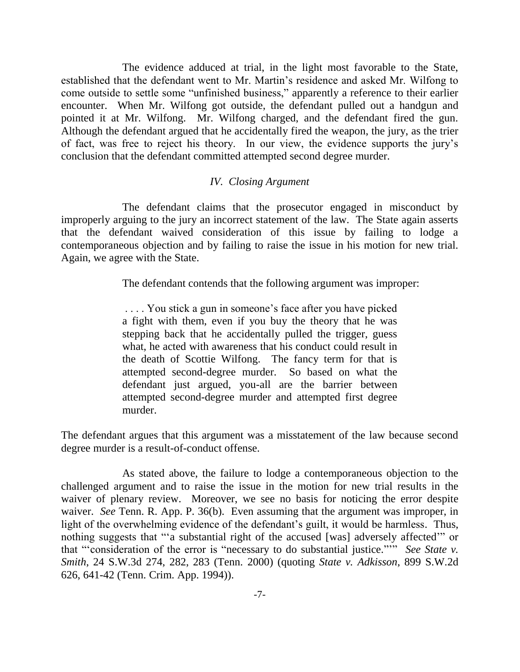The evidence adduced at trial, in the light most favorable to the State, established that the defendant went to Mr. Martin"s residence and asked Mr. Wilfong to come outside to settle some "unfinished business," apparently a reference to their earlier encounter. When Mr. Wilfong got outside, the defendant pulled out a handgun and pointed it at Mr. Wilfong. Mr. Wilfong charged, and the defendant fired the gun. Although the defendant argued that he accidentally fired the weapon, the jury, as the trier of fact, was free to reject his theory. In our view, the evidence supports the jury"s conclusion that the defendant committed attempted second degree murder.

#### *IV. Closing Argument*

The defendant claims that the prosecutor engaged in misconduct by improperly arguing to the jury an incorrect statement of the law. The State again asserts that the defendant waived consideration of this issue by failing to lodge a contemporaneous objection and by failing to raise the issue in his motion for new trial. Again, we agree with the State.

The defendant contends that the following argument was improper:

. . . . You stick a gun in someone"s face after you have picked a fight with them, even if you buy the theory that he was stepping back that he accidentally pulled the trigger, guess what, he acted with awareness that his conduct could result in the death of Scottie Wilfong. The fancy term for that is attempted second-degree murder. So based on what the defendant just argued, you-all are the barrier between attempted second-degree murder and attempted first degree murder.

The defendant argues that this argument was a misstatement of the law because second degree murder is a result-of-conduct offense.

As stated above, the failure to lodge a contemporaneous objection to the challenged argument and to raise the issue in the motion for new trial results in the waiver of plenary review. Moreover, we see no basis for noticing the error despite waiver. *See* Tenn. R. App. P. 36(b). Even assuming that the argument was improper, in light of the overwhelming evidence of the defendant's guilt, it would be harmless. Thus, nothing suggests that ""a substantial right of the accused [was] adversely affected"" or that ""consideration of the error is "necessary to do substantial justice.""" *See State v. Smith*, 24 S.W.3d 274, 282, 283 (Tenn. 2000) (quoting *State v. Adkisson*, 899 S.W.2d 626, 641-42 (Tenn. Crim. App. 1994)).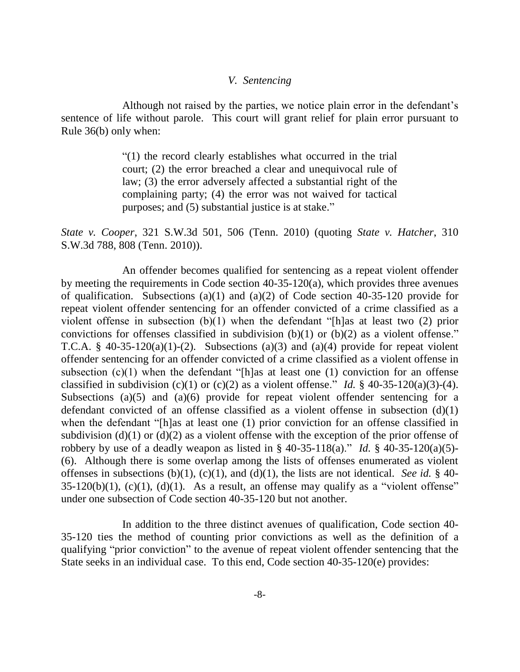#### *V. Sentencing*

Although not raised by the parties, we notice plain error in the defendant"s sentence of life without parole. This court will grant relief for plain error pursuant to Rule 36(b) only when:

> "(1) the record clearly establishes what occurred in the trial court; (2) the error breached a clear and unequivocal rule of law; (3) the error adversely affected a substantial right of the complaining party; (4) the error was not waived for tactical purposes; and (5) substantial justice is at stake."

*State v. Cooper*, 321 S.W.3d 501, 506 (Tenn. 2010) (quoting *State v. Hatcher*, 310 S.W.3d 788, 808 (Tenn. 2010)).

An offender becomes qualified for sentencing as a repeat violent offender by meeting the requirements in Code section 40-35-120(a), which provides three avenues of qualification. Subsections (a)(1) and (a)(2) of Code section  $40-35-120$  provide for repeat violent offender sentencing for an offender convicted of a crime classified as a violent offense in subsection (b)(1) when the defendant "[h]as at least two (2) prior convictions for offenses classified in subdivision (b)(1) or (b)(2) as a violent offense." T.C.A. §  $40-35-120(a)(1)-(2)$ . Subsections (a)(3) and (a)(4) provide for repeat violent offender sentencing for an offender convicted of a crime classified as a violent offense in subsection  $(c)(1)$  when the defendant "[h]as at least one  $(1)$  conviction for an offense classified in subdivision (c)(1) or (c)(2) as a violent offense." *Id.* § 40-35-120(a)(3)-(4). Subsections (a)(5) and (a)(6) provide for repeat violent offender sentencing for a defendant convicted of an offense classified as a violent offense in subsection (d)(1) when the defendant "[h]as at least one (1) prior conviction for an offense classified in subdivision (d)(1) or (d)(2) as a violent offense with the exception of the prior offense of robbery by use of a deadly weapon as listed in  $\S$  40-35-118(a)." *Id.*  $\S$  40-35-120(a)(5)-(6). Although there is some overlap among the lists of offenses enumerated as violent offenses in subsections (b)(1), (c)(1), and (d)(1), the lists are not identical. *See id.* § 40- $35-120(b)(1)$ , (c)(1), (d)(1). As a result, an offense may qualify as a "violent offense" under one subsection of Code section 40-35-120 but not another.

In addition to the three distinct avenues of qualification, Code section 40- 35-120 ties the method of counting prior convictions as well as the definition of a qualifying "prior conviction" to the avenue of repeat violent offender sentencing that the State seeks in an individual case. To this end, Code section 40-35-120(e) provides: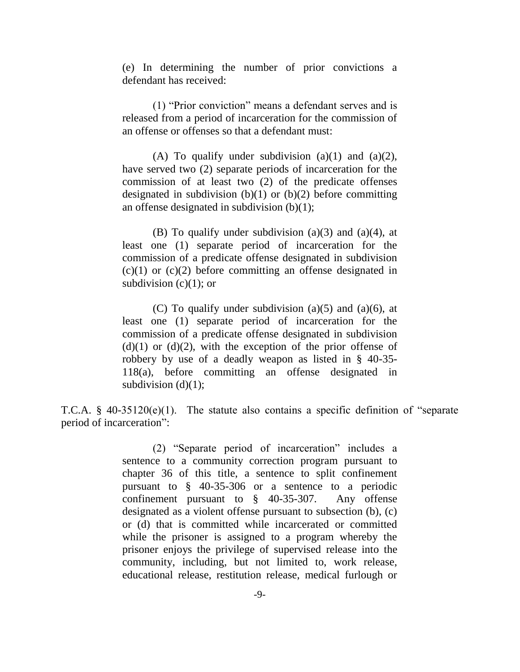(e) In determining the number of prior convictions a defendant has received:

(1) "Prior conviction" means a defendant serves and is released from a period of incarceration for the commission of an offense or offenses so that a defendant must:

(A) To qualify under subdivision (a)(1) and (a)(2), have served two (2) separate periods of incarceration for the commission of at least two (2) of the predicate offenses designated in subdivision  $(b)(1)$  or  $(b)(2)$  before committing an offense designated in subdivision (b)(1);

(B) To qualify under subdivision  $(a)(3)$  and  $(a)(4)$ , at least one (1) separate period of incarceration for the commission of a predicate offense designated in subdivision  $(c)(1)$  or  $(c)(2)$  before committing an offense designated in subdivision  $(c)(1)$ ; or

(C) To qualify under subdivision (a)(5) and (a)(6), at least one (1) separate period of incarceration for the commission of a predicate offense designated in subdivision  $(d)(1)$  or  $(d)(2)$ , with the exception of the prior offense of robbery by use of a deadly weapon as listed in § 40-35- 118(a), before committing an offense designated in subdivision  $(d)(1)$ ;

T.C.A. § 40-35120(e)(1). The statute also contains a specific definition of "separate period of incarceration":

> (2) "Separate period of incarceration" includes a sentence to a community correction program pursuant to chapter 36 of this title, a sentence to split confinement pursuant to § 40-35-306 or a sentence to a periodic confinement pursuant to § 40-35-307. Any offense designated as a violent offense pursuant to subsection (b), (c) or (d) that is committed while incarcerated or committed while the prisoner is assigned to a program whereby the prisoner enjoys the privilege of supervised release into the community, including, but not limited to, work release, educational release, restitution release, medical furlough or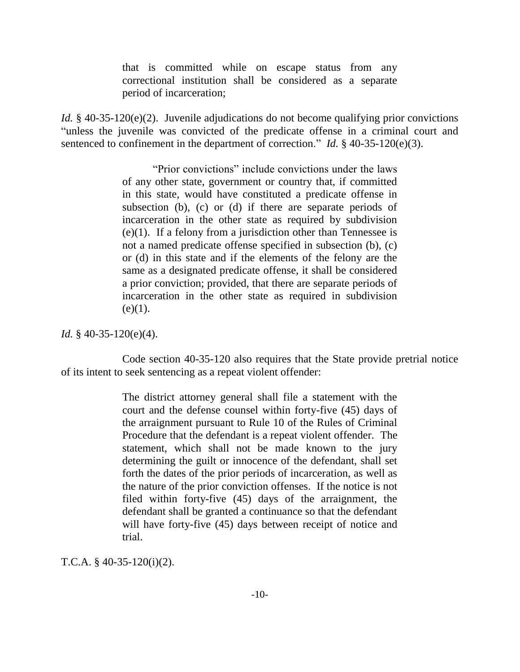that is committed while on escape status from any correctional institution shall be considered as a separate period of incarceration;

*Id.* § 40-35-120(e)(2). Juvenile adjudications do not become qualifying prior convictions "unless the juvenile was convicted of the predicate offense in a criminal court and sentenced to confinement in the department of correction." *Id.* § 40-35-120(e)(3).

> "Prior convictions" include convictions under the laws of any other state, government or country that, if committed in this state, would have constituted a predicate offense in subsection (b), (c) or (d) if there are separate periods of incarceration in the other state as required by subdivision (e)(1). If a felony from a jurisdiction other than Tennessee is not a named predicate offense specified in subsection (b), (c) or (d) in this state and if the elements of the felony are the same as a designated predicate offense, it shall be considered a prior conviction; provided, that there are separate periods of incarceration in the other state as required in subdivision  $(e)(1)$ .

*Id.* § 40-35-120(e)(4).

Code section 40-35-120 also requires that the State provide pretrial notice of its intent to seek sentencing as a repeat violent offender:

> The district attorney general shall file a statement with the court and the defense counsel within forty-five (45) days of the arraignment pursuant to Rule 10 of the Rules of Criminal Procedure that the defendant is a repeat violent offender. The statement, which shall not be made known to the jury determining the guilt or innocence of the defendant, shall set forth the dates of the prior periods of incarceration, as well as the nature of the prior conviction offenses. If the notice is not filed within forty-five (45) days of the arraignment, the defendant shall be granted a continuance so that the defendant will have forty-five (45) days between receipt of notice and trial.

T.C.A. § 40-35-120(i)(2).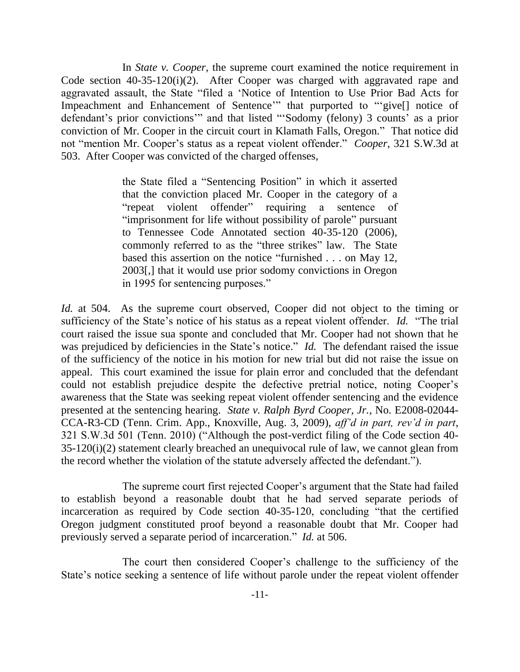In *State v. Cooper*, the supreme court examined the notice requirement in Code section 40-35-120(i)(2). After Cooper was charged with aggravated rape and aggravated assault, the State "filed a "Notice of Intention to Use Prior Bad Acts for Impeachment and Enhancement of Sentence" that purported to ""give[] notice of defendant's prior convictions" and that listed "Sodomy (felony) 3 counts' as a prior conviction of Mr. Cooper in the circuit court in Klamath Falls, Oregon." That notice did not "mention Mr. Cooper"s status as a repeat violent offender." *Cooper*, 321 S.W.3d at 503. After Cooper was convicted of the charged offenses,

> the State filed a "Sentencing Position" in which it asserted that the conviction placed Mr. Cooper in the category of a "repeat violent offender" requiring a sentence of "imprisonment for life without possibility of parole" pursuant to Tennessee Code Annotated section 40-35-120 (2006), commonly referred to as the "three strikes" law. The State based this assertion on the notice "furnished . . . on May 12, 2003[,] that it would use prior sodomy convictions in Oregon in 1995 for sentencing purposes."

*Id.* at 504. As the supreme court observed, Cooper did not object to the timing or sufficiency of the State's notice of his status as a repeat violent offender. *Id.* "The trial court raised the issue sua sponte and concluded that Mr. Cooper had not shown that he was prejudiced by deficiencies in the State's notice." *Id.* The defendant raised the issue of the sufficiency of the notice in his motion for new trial but did not raise the issue on appeal. This court examined the issue for plain error and concluded that the defendant could not establish prejudice despite the defective pretrial notice, noting Cooper"s awareness that the State was seeking repeat violent offender sentencing and the evidence presented at the sentencing hearing. *State v. Ralph Byrd Cooper, Jr.*, No. E2008-02044- CCA-R3-CD (Tenn. Crim. App., Knoxville, Aug. 3, 2009), *aff'd in part, rev'd in part*, 321 S.W.3d 501 (Tenn. 2010) ("Although the post-verdict filing of the Code section 40- 35-120(i)(2) statement clearly breached an unequivocal rule of law, we cannot glean from the record whether the violation of the statute adversely affected the defendant.").

The supreme court first rejected Cooper's argument that the State had failed to establish beyond a reasonable doubt that he had served separate periods of incarceration as required by Code section 40-35-120, concluding "that the certified Oregon judgment constituted proof beyond a reasonable doubt that Mr. Cooper had previously served a separate period of incarceration." *Id.* at 506.

The court then considered Cooper"s challenge to the sufficiency of the State's notice seeking a sentence of life without parole under the repeat violent offender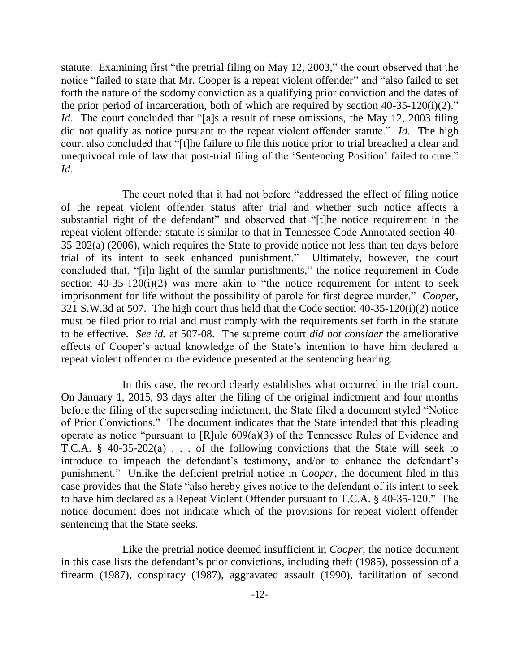statute. Examining first "the pretrial filing on May 12, 2003," the court observed that the notice "failed to state that Mr. Cooper is a repeat violent offender" and "also failed to set forth the nature of the sodomy conviction as a qualifying prior conviction and the dates of the prior period of incarceration, both of which are required by section  $40-35-120(i)(2)$ ." *Id.* The court concluded that "[a]s a result of these omissions, the May 12, 2003 filing did not qualify as notice pursuant to the repeat violent offender statute." *Id.* The high court also concluded that "[t]he failure to file this notice prior to trial breached a clear and unequivocal rule of law that post-trial filing of the "Sentencing Position" failed to cure." *Id.*

The court noted that it had not before "addressed the effect of filing notice of the repeat violent offender status after trial and whether such notice affects a substantial right of the defendant" and observed that "[t]he notice requirement in the repeat violent offender statute is similar to that in Tennessee Code Annotated section 40- 35-202(a) (2006), which requires the State to provide notice not less than ten days before trial of its intent to seek enhanced punishment." Ultimately, however, the court concluded that, "[i]n light of the similar punishments," the notice requirement in Code section  $40-35-120(i)(2)$  was more akin to "the notice requirement for intent to seek imprisonment for life without the possibility of parole for first degree murder." *Cooper*, 321 S.W.3d at 507. The high court thus held that the Code section 40-35-120(i)(2) notice must be filed prior to trial and must comply with the requirements set forth in the statute to be effective. *See id.* at 507-08. The supreme court *did not consider* the ameliorative effects of Cooper's actual knowledge of the State's intention to have him declared a repeat violent offender or the evidence presented at the sentencing hearing.

In this case, the record clearly establishes what occurred in the trial court. On January 1, 2015, 93 days after the filing of the original indictment and four months before the filing of the superseding indictment, the State filed a document styled "Notice of Prior Convictions." The document indicates that the State intended that this pleading operate as notice "pursuant to [R]ule 609(a)(3) of the Tennessee Rules of Evidence and T.C.A. § 40-35-202(a)  $\ldots$  of the following convictions that the State will seek to introduce to impeach the defendant's testimony, and/or to enhance the defendant's punishment." Unlike the deficient pretrial notice in *Cooper*, the document filed in this case provides that the State "also hereby gives notice to the defendant of its intent to seek to have him declared as a Repeat Violent Offender pursuant to T.C.A. § 40-35-120." The notice document does not indicate which of the provisions for repeat violent offender sentencing that the State seeks.

Like the pretrial notice deemed insufficient in *Cooper*, the notice document in this case lists the defendant's prior convictions, including theft (1985), possession of a firearm (1987), conspiracy (1987), aggravated assault (1990), facilitation of second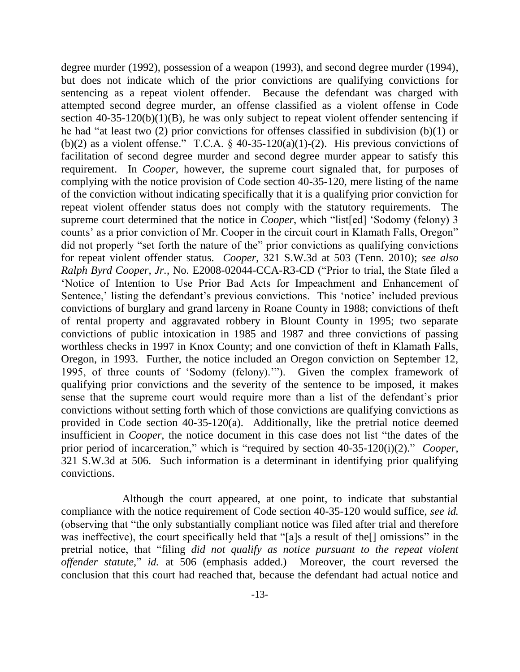degree murder (1992), possession of a weapon (1993), and second degree murder (1994), but does not indicate which of the prior convictions are qualifying convictions for sentencing as a repeat violent offender. Because the defendant was charged with attempted second degree murder, an offense classified as a violent offense in Code section  $40-35-120(b)(1)(B)$ , he was only subject to repeat violent offender sentencing if he had "at least two (2) prior convictions for offenses classified in subdivision (b)(1) or (b)(2) as a violent offense." T.C.A.  $\S$  40-35-120(a)(1)-(2). His previous convictions of facilitation of second degree murder and second degree murder appear to satisfy this requirement. In *Cooper*, however, the supreme court signaled that, for purposes of complying with the notice provision of Code section 40-35-120, mere listing of the name of the conviction without indicating specifically that it is a qualifying prior conviction for repeat violent offender status does not comply with the statutory requirements. The supreme court determined that the notice in *Cooper*, which "list[ed] 'Sodomy (felony) 3 counts' as a prior conviction of Mr. Cooper in the circuit court in Klamath Falls, Oregon" did not properly "set forth the nature of the" prior convictions as qualifying convictions for repeat violent offender status. *Cooper*, 321 S.W.3d at 503 (Tenn. 2010); *see also Ralph Byrd Cooper, Jr.*, No. E2008-02044-CCA-R3-CD ("Prior to trial, the State filed a "Notice of Intention to Use Prior Bad Acts for Impeachment and Enhancement of Sentence,' listing the defendant's previous convictions. This 'notice' included previous convictions of burglary and grand larceny in Roane County in 1988; convictions of theft of rental property and aggravated robbery in Blount County in 1995; two separate convictions of public intoxication in 1985 and 1987 and three convictions of passing worthless checks in 1997 in Knox County; and one conviction of theft in Klamath Falls, Oregon, in 1993. Further, the notice included an Oregon conviction on September 12, 1995, of three counts of "Sodomy (felony).""). Given the complex framework of qualifying prior convictions and the severity of the sentence to be imposed, it makes sense that the supreme court would require more than a list of the defendant"s prior convictions without setting forth which of those convictions are qualifying convictions as provided in Code section 40-35-120(a). Additionally, like the pretrial notice deemed insufficient in *Cooper*, the notice document in this case does not list "the dates of the prior period of incarceration," which is "required by section 40-35-120(i)(2)." *Cooper*, 321 S.W.3d at 506. Such information is a determinant in identifying prior qualifying convictions.

Although the court appeared, at one point, to indicate that substantial compliance with the notice requirement of Code section 40-35-120 would suffice, *see id.* (observing that "the only substantially compliant notice was filed after trial and therefore was ineffective), the court specifically held that "[a]s a result of the[] omissions" in the pretrial notice, that "filing *did not qualify as notice pursuant to the repeat violent offender statute*," *id.* at 506 (emphasis added.) Moreover, the court reversed the conclusion that this court had reached that, because the defendant had actual notice and